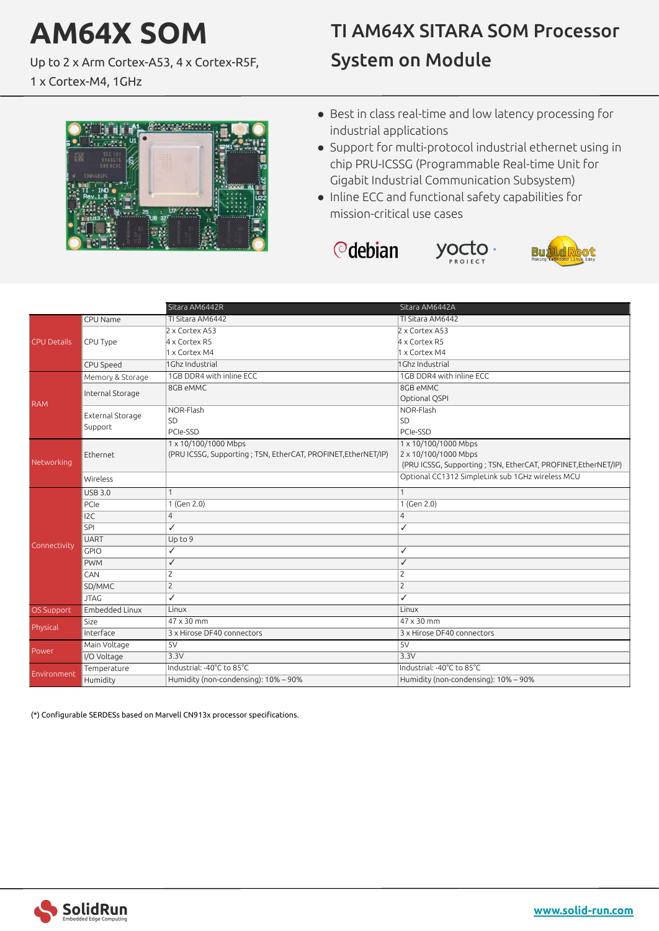## **AM64X SOM**

Up to 2 x Arm Cortex-A53, 4 x Cortex-R5F,

1 x Cortex-M4, 1GHz

## TI AM64X SITARA SOM Processor System on Module



- Best in class real-time and low latency processing for industrial applications
- Support for multi-protocol industrial ethernet using in chip PRU-ICSSG (Programmable Real-time Unit for Gigabit Industrial Communication Subsystem)
- Inline ECC and functional safety capabilities for mission-critical use cases

```
<u></u> debian
```




|                    |                  | Sitara AM6442R                                                 | Sitara AM6442A                                                 |
|--------------------|------------------|----------------------------------------------------------------|----------------------------------------------------------------|
|                    | CPU Name         | TI Sitara AM6442                                               | TI Sitara AM6442                                               |
| <b>CPU Details</b> |                  | 2 x Cortex A53                                                 | 2 x Cortex A53                                                 |
|                    | CPU Type         | 4 x Cortex R5                                                  | $4 \times$ Cortex R5                                           |
|                    |                  | 1 x Cortex M4                                                  | 1 x Cortex M4                                                  |
|                    | CPU Speed        | 1Ghz Industrial                                                | 1Ghz Industrial                                                |
| <b>RAM</b>         | Memory & Storage | 1GB DDR4 with inline ECC                                       | 1GB DDR4 with inline ECC                                       |
|                    | Internal Storage | 8GB eMMC                                                       | 8GB eMMC                                                       |
|                    |                  |                                                                | Optional QSPI                                                  |
|                    |                  | NOR-Flash                                                      | NOR-Flash                                                      |
|                    | External Storage | SD                                                             | <b>SD</b>                                                      |
|                    | Support          | PCIe-SSD                                                       | PCIe-SSD                                                       |
| Networking         | Ethernet         | 1 x 10/100/1000 Mbps                                           | 1 x 10/100/1000 Mbps                                           |
|                    |                  | (PRU ICSSG, Supporting ; TSN, EtherCAT, PROFINET, EtherNET/IP) | 2 x 10/100/1000 Mbps                                           |
|                    |                  |                                                                | (PRU ICSSG, Supporting ; TSN, EtherCAT, PROFINET, EtherNET/IP) |
|                    | Wireless         |                                                                | Optional CC1312 SimpleLink sub 1GHz wireless MCU               |
|                    | <b>USB 3.0</b>   |                                                                | 1                                                              |
|                    | PCIe             | 1 (Gen 2.0)                                                    | 1 (Gen 2.0)                                                    |
|                    | 12C              | $\overline{4}$                                                 | $\overline{4}$                                                 |
|                    | SPI              | ✓                                                              | ✓                                                              |
| Connectivity       | <b>UART</b>      | Up to 9                                                        |                                                                |
|                    | GPIO             | ✓                                                              | ✓                                                              |
|                    | <b>PWM</b>       | ✓                                                              | ✓                                                              |
|                    | CAN              | $\overline{2}$                                                 | $\overline{2}$                                                 |
|                    | SD/MMC           | $\overline{c}$                                                 | $\overline{c}$                                                 |
|                    | <b>JTAG</b>      | ✓                                                              | ✓                                                              |
| OS Support         | Embedded Linux   | Linux                                                          | Linux                                                          |
|                    | Size             | 47 x 30 mm                                                     | $47 \times 30$ mm                                              |
| Physical           | Interface        | 3 x Hirose DF40 connectors                                     | 3 x Hirose DF40 connectors                                     |
| Power              | Main Voltage     | 5V                                                             | 5V                                                             |
|                    | I/O Voltage      | 3.3V                                                           | 3.3V                                                           |
| Environment        | Temperature      | Industrial: -40°C to 85°C                                      | Industrial: -40°C to 85°C                                      |
|                    | Humidity         | Humidity (non-condensing): 10% - 90%                           | Humidity (non-condensing): 10% - 90%                           |

(\*) Configurable SERDESs based on Marvell CN913x processor specifications.